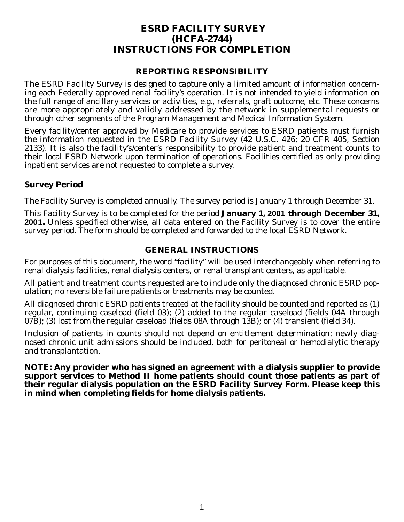# **ESRD FACILITY SURVEY (HCFA-2744) INSTRUCTIONS FOR COMPLETION**

#### **REPORTING RESPONSIBILITY**

The ESRD Facility Survey is designed to capture only a limited amount of information concerning each Federally approved renal facility's operation. It is not intended to yield information on the full range of ancillary services or activities, e.g., referrals, graft outcome, etc. These concerns are more appropriately and validly addressed by the network in supplemental requests or through other segments of the Program Management and Medical Information System.

Every facility/center approved by Medicare to provide services to ESRD patients must furnish the information requested in the ESRD Facility Survey (42 U.S.C. 426; 20 CFR 405, Section 2133). It is also the facility's/center's responsibility to provide patient and treatment counts to their local ESRD Network upon termination of operations. Facilities certified as only providing inpatient services are not requested to complete a survey.

# **Survey Period**

The Facility Survey is completed annually. The survey period is January 1 through December 31.

This Facility Survey is to be completed for the period **January 1, 2001 through December 31, 2001.** Unless specified otherwise, all data entered on the Facility Survey is to cover the entire survey period. The form should be completed and forwarded to the local ESRD Network.

# **GENERAL INSTRUCTIONS**

For purposes of this document, the word "facility" will be used interchangeably when referring to renal dialysis facilities, renal dialysis centers, or renal transplant centers, as applicable.

All patient and treatment counts requested are to include only the diagnosed chronic ESRD population; no reversible failure patients or treatments may be counted.

All diagnosed chronic ESRD patients treated at the facility should be counted and reported as (1) regular, continuing caseload (field 03); (2) added to the regular caseload (fields 04A through 07B); (3) lost from the regular caseload (fields 08A through 13B); or (4) transient (field 34).

Inclusion of patients in counts should not depend on entitlement determination; newly diagnosed chronic unit admissions should be included, both for peritoneal or hemodialytic therapy and transplantation.

**NOTE: Any provider who has signed an agreement with a dialysis supplier to provide support services to Method II home patients should count those patients as part of their regular dialysis population on the ESRD Facility Survey Form. Please keep this in mind when completing fields for home dialysis patients.**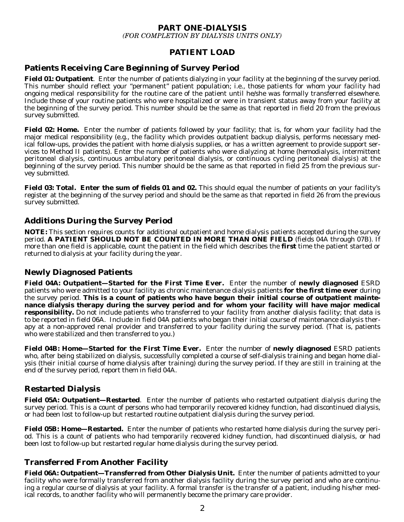#### **PART ONE-DIALYSIS**  *(FOR COMPLETION BY DIALYSIS UNITS ONLY)*

# **PATIENT LOAD**

# **Patients Receiving Care Beginning of Survey Period**

**Field 01: Outpatient**. Enter the number of patients dialyzing in your facility at the beginning of the survey period. This number should reflect your "permanent" patient population; i.e., those patients for whom your facility had ongoing medical responsibility for the routine care of the patient until he/she was formally transferred elsewhere. Include those of your routine patients who were hospitalized or were in transient status away from your facility at the beginning of the survey period. This number should be the same as that reported in field 20 from the previous survey submitted.

**Field 02: Home.** Enter the number of patients followed by your facility; that is, for whom your facility had the major medical responsibility (e.g., the facility which provides outpatient backup dialysis, performs necessary medical follow-ups, provides the patient with home dialysis supplies, or has a written agreement to provide support services to Method II patients). Enter the number of patients who were dialyzing at home (hemodialysis, intermittent peritoneal dialysis, continuous ambulatory peritoneal dialysis, or continuous cycling peritoneal dialysis) at the beginning of the survey period. This number should be the same as that reported in field 25 from the previous survey submitted.

**Field 03: Total. Enter the sum of fields 01 and 02.** This should equal the number of patients on your facility's register at the beginning of the survey period and should be the same as that reported in field 26 from the previous survey submitted.

# **Additions During the Survey Period**

**NOTE:** This section requires counts for additional outpatient and home dialysis patients accepted during the survey period. **A PATIENT SHOULD NOT BE COUNTED IN MORE THAN ONE FIELD** (fields 04A through 07B). If more than one field is applicable, count the patient in the field which describes the **first** time the patient started or returned to dialysis at your facility during the year.

#### **Newly Diagnosed Patients**

**Field 04A: Outpatient—Started for the First Time Ever.** Enter the number of **newly diagnosed** ESRD patients who were admitted to your facility as chronic maintenance dialysis patients **for the first time ever** during the survey period. **This is a count of patients who have begun their initial course of outpatient maintenance dialysis therapy during the survey period and for whom your facility will have major medical responsibility.** Do not include patients who transferred to your facility from another dialysis facility; that data is to be reported in field 06A. Include in field 04A patients who began their initial course of maintenance dialysis therapy at a non-approved renal provider and transferred to your facility during the survey period. (That is, patients who were stabilized and then transferred to you.)

**Field 04B: Home—Started for the First Time Ever.** Enter the number of **newly diagnosed** ESRD patients who, after being stabilized on dialysis, successfully completed a course of self-dialysis training and began home dialysis (their initial course of home dialysis after training) during the survey period. If they are still in training at the end of the survey period, report them in field 04A.

# **Restarted Dialysis**

**Field 05A: Outpatient—Restarted**. Enter the number of patients who restarted outpatient dialysis during the survey period. This is a count of persons who had temporarily recovered kidney function, had discontinued dialysis, or had been lost to follow-up but restarted routine outpatient dialysis during the survey period.

**Field 05B: Home—Restarted.** Enter the number of patients who restarted home dialysis during the survey period. This is a count of patients who had temporarily recovered kidney function, had discontinued dialysis, or had been lost to follow-up but restarted regular home dialysis during the survey period.

# **Transferred From Another Facility**

**Field 06A: Outpatient—Transferred from Other Dialysis Unit.** Enter the number of patients admitted to your facility who were formally transferred from another dialysis facility during the survey period and who are continuing a regular course of dialysis at your facility. A formal transfer is the transfer of a patient, including his/her medical records, to another facility who will permanently become the primary care provider.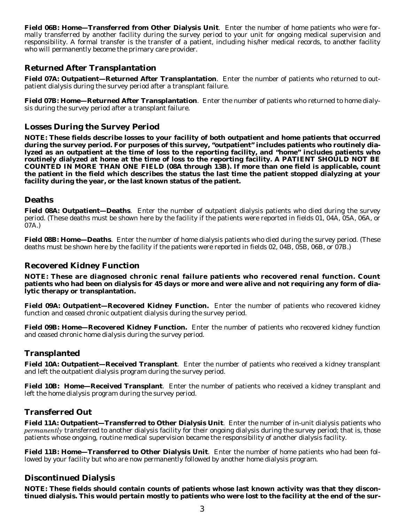**Field 06B: Home—Transferred from Other Dialysis Unit**. Enter the number of home patients who were formally transferred by another facility during the survey period to your unit for ongoing medical supervision and responsibility. A formal transfer is the transfer of a patient, including his/her medical records, to another facility who will permanently become the primary care provider.

# **Returned After Transplantation**

**Field 07A: Outpatient—Returned After Transplantation**. Enter the number of patients who returned to outpatient dialysis during the survey period after a transplant failure.

**Field 07B: Home—Returned After Transplantation**. Enter the number of patients who returned to home dialysis during the survey period after a transplant failure.

# **Losses During the Survey Period**

**NOTE: These fields describe losses to your facility of both outpatient and home patients that occurred during the survey period. For purposes of this survey, "outpatient" includes patients who routinely dialyzed as an outpatient at the time of loss to the reporting facility, and "home" includes patients who routinely dialyzed at home at the time of loss to the reporting facility. A PATIENT SHOULD NOT BE COUNTED IN MORE THAN ONE FIELD (08A through 13B). If more than one field is applicable, count the patient in the field which describes the status the last time the patient stopped dialyzing at your facility during the year, or the last known status of the patient.** 

#### **Deaths**

**Field 08A: Outpatient—Deaths**. Enter the number of outpatient dialysis patients who died during the survey period. (These deaths must be shown here by the facility if the patients were reported in fields 01, 04A, 05A, 06A, or 07A.)

**Field 08B: Home—Deaths**. Enter the number of home dialysis patients who died during the survey period. (These deaths must be shown here by the facility if the patients were reported in fields 02, 04B, 05B, 06B, or 07B.)

# **Recovered Kidney Function**

**NOTE: These are diagnosed chronic renal failure patients who recovered renal function. Count patients who had been on dialysis for 45 days or more and were alive and not requiring any form of dialytic therapy or transplantation.** 

**Field 09A: Outpatient—Recovered Kidney Function.** Enter the number of patients who recovered kidney function and ceased chronic outpatient dialysis during the survey period.

**Field 09B: Home—Recovered Kidney Function.** Enter the number of patients who recovered kidney function and ceased chronic home dialysis during the survey period.

# **Transplanted**

**Field 10A: Outpatient—Received Transplant**. Enter the number of patients who received a kidney transplant and left the outpatient dialysis program during the survey period.

**Field 10B: Home—Received Transplant**. Enter the number of patients who received a kidney transplant and left the home dialysis program during the survey period.

#### **Transferred Out**

**Field 11A: Outpatient—Transferred to Other Dialysis Unit**. Enter the number of in-unit dialysis patients who *permanently* transferred to another dialysis facility for their ongoing dialysis during the survey period; that is, those patients whose ongoing, routine medical supervision became the responsibility of another dialysis facility.

**Field 11B: Home—Transferred to Other Dialysis Unit**. Enter the number of home patients who had been followed by your facility but who are now permanently followed by another home dialysis program.

# **Discontinued Dialysis**

**NOTE: These fields should contain counts of patients whose last known activity was that they discontinued dialysis. This would pertain mostly to patients who were lost to the facility at the end of the sur-**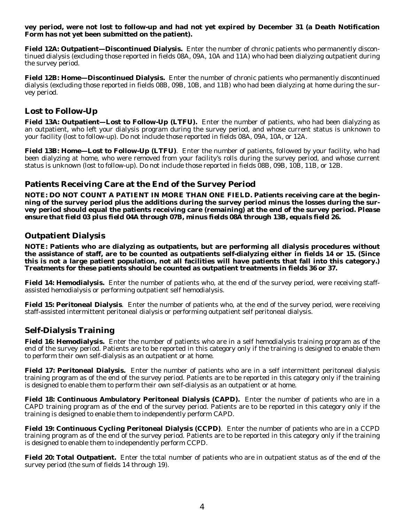#### **vey period, were not lost to follow-up and had not yet expired by December 31 (a Death Notification Form has not yet been submitted on the patient).**

**Field 12A: Outpatient—Discontinued Dialysis.** Enter the number of chronic patients who permanently discontinued dialysis (excluding those reported in fields 08A, 09A, 10A and 11A) who had been dialyzing outpatient during the survey period.

**Field 12B: Home—Discontinued Dialysis.** Enter the number of chronic patients who permanently discontinued dialysis (excluding those reported in fields 08B, 09B, 10B, and 11B) who had been dialyzing at home during the survey period.

#### **Lost to Follow-Up**

**Field 13A: Outpatient—Lost to Follow-Up (LTFU).** Enter the number of patients, who had been dialyzing as an outpatient, who left your dialysis program during the survey period, and whose current status is unknown to your facility (lost to follow-up). Do not include those reported in fields 08A, 09A, 10A, or 12A.

**Field 13B: Home—Lost to Follow-Up (LTFU)**. Enter the number of patients, followed by your facility, who had been dialyzing at home, who were removed from your facility's rolls during the survey period, and whose current status is unknown (lost to follow-up). Do not include those reported in fields 08B, 09B, 10B, 11B, or 12B.

# **Patients Receiving Care at the End of the Survey Period**

**NOTE: DO NOT COUNT A PATIENT IN MORE THAN ONE FIELD. Patients receiving care at the beginning of the survey period plus the additions during the survey period minus the losses during the survey period should equal the patients receiving care (remaining) at the end of the survey period.** *Please ensure that field 03 plus field 04A through 07B, minus fields 08A through 13B, equals field 26.* 

#### **Outpatient Dialysis**

**NOTE: Patients who are dialyzing as outpatients, but are performing all dialysis procedures without the assistance of staff, are to be counted as outpatients self-dialyzing either in fields 14 or 15. (Since this is not a large patient population, not all facilities will have patients that fall into this category.) Treatments for these patients should be counted as outpatient treatments in fields 36 or 37.** 

**Field 14: Hemodialysis.** Enter the number of patients who, at the end of the survey period, were receiving staffassisted hemodialysis or performing outpatient self hemodialysis.

**Field 15: Peritoneal Dialysis**. Enter the number of patients who, at the end of the survey period, were receiving staff-assisted intermittent peritoneal dialysis or performing outpatient self peritoneal dialysis.

# **Self-Dialysis Training**

**Field 16: Hemodialysis.** Enter the number of patients who are in a self hemodialysis training program as of the end of the survey period. Patients are to be reported in this category only if the training is designed to enable them to perform their own self-dialysis as an outpatient or at home.

**Field 17: Peritoneal Dialysis.** Enter the number of patients who are in a self intermittent peritoneal dialysis training program as of the end of the survey period. Patients are to be reported in this category only if the training is designed to enable them to perform their own self-dialysis as an outpatient or at home.

**Field 18: Continuous Ambulatory Peritoneal Dialysis (CAPD).** Enter the number of patients who are in a CAPD training program as of the end of the survey period. Patients are to be reported in this category only if the training is designed to enable them to independently perform CAPD.

**Field 19: Continuous Cycling Peritoneal Dialysis (CCPD)**. Enter the number of patients who are in a CCPD training program as of the end of the survey period. Patients are to be reported in this category only if the training is designed to enable them to independently perform CCPD.

**Field 20: Total Outpatient.** Enter the total number of patients who are in outpatient status as of the end of the survey period (the sum of fields 14 through 19).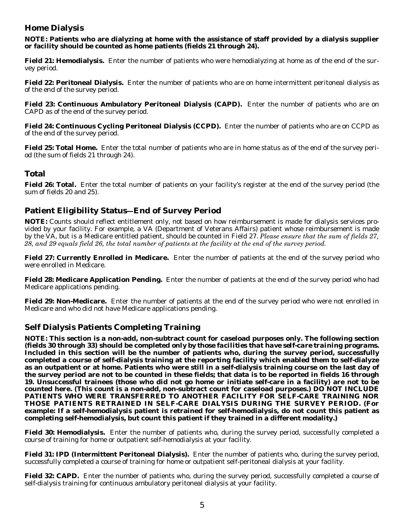# **Home Dialysis**

**NOTE: Patients who are dialyzing at home with the assistance of staff provided by a dialysis supplier or facility should be counted as home patients (fields 21 through 24).** 

**Field 21: Hemodialysis.** Enter the number of patients who were hemodialyzing at home as of the end of the survey period.

**Field 22: Peritoneal Dialysis.** Enter the number of patients who are on home intermittent peritoneal dialysis as of the end of the survey period.

**Field 23: Continuous Ambulatory Peritoneal Dialysis (CAPD).** Enter the number of patients who are on CAPD as of the end of the survey period.

**Field 24: Continuous Cycling Peritoneal Dialysis (CCPD).** Enter the number of patients who are on CCPD as of the end of the survey period.

**Field 25: Total Home.** Enter the total number of patients who are in home status as of the end of the survey period (the sum of fields 21 through 24).

# **Total**

**Field 26: Total.** Enter the total number of patients on your facility's register at the end of the survey period (the sum of fields 20 and 25).

# **Patient Eligibility Status—End of Survey Period**

**NOTE:** Counts should reflect entitlement only, not based on how reimbursement is made for dialysis services provided by your facility. For example, a VA (Department of Veterans Affairs) patient whose reimbursement is made by the VA, but is a Medicare entitled patient, should be counted in Field 27. *Please ensure that the sum of fields 27, 28, and 29 equals field 26, the total number of patients at the facility at the end of the survey period.* 

**Field 27: Currently Enrolled in Medicare.** Enter the number of patients at the end of the survey period who were enrolled in Medicare.

**Field 28: Medicare Application Pending.** Enter the number of patients at the end of the survey period who had Medicare applications pending.

**Field 29: Non-Medicare.**  Enter the number of patients at the end of the survey period who were not enrolled in Medicare and who did not have Medicare applications pending.

# **Self Dialysis Patients Completing Training**

**NOTE: This section is a non-add, non-subtract count for caseload purposes only. The following section (fields 30 through 33) should be completed** *only by those facilities that have self-care training programs.*  **Included in this section will be the number of patients who, during the survey period, successfully completed a course of self-dialysis training at the reporting facility which enabled them to self-dialyze as an outpatient or at home. Patients who were still in a self-dialysis training course on the last day of the survey period are not to be counted in these fields; that data is to be reported in fields 16 through 19. Unsuccessful trainees (those who did not go home or initiate self-care in a facility) are not to be counted here. (This count is a non-add, non-subtract count for caseload purposes.) DO NOT INCLUDE PATIENTS WHO WERE TRANSFERRED TO ANOTHER FACILITY FOR SELF-CARE TRAINING NOR THOSE PATIENTS RETRAINED IN SELF-CARE DIALYSIS DURING THE SURVEY PERIOD. (For example: If a self-hemodialysis patient is retrained for self-hemodialysis, do not count this patient as completing self-hemodialysis, but count this patient if they trained in a different modality.)** 

**Field 30: Hemodialysis.** Enter the number of patients who, during the survey period, successfully completed a course of training for home or outpatient self-hemodialysis at your facility.

**Field 31: IPD (Intermittent Peritoneal Dialysis).** Enter the number of patients who, during the survey period, successfully completed a course of training for home or outpatient self-peritoneal dialysis at your facility.

**Field 32: CAPD.** Enter the number of patients who, during the survey period, successfully completed a course of self-dialysis training for continuous ambulatory peritoneal dialysis at your facility.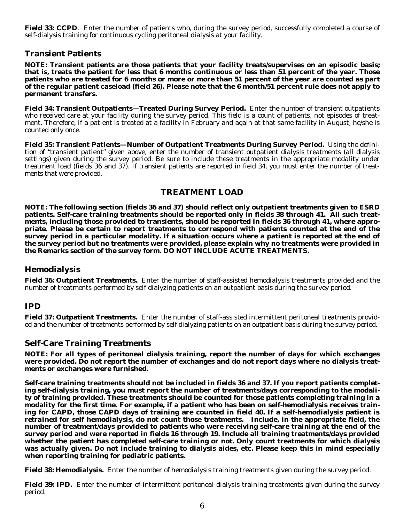**Field 33: CCPD**. Enter the number of patients who, during the survey period, successfully completed a course of self-dialysis training for continuous cycling peritoneal dialysis at your facility.

#### **Transient Patients**

**NOTE: Transient patients are those patients that your facility treats/supervises on an episodic basis; that is, treats the patient for less that 6 months continuous or less than 51 percent of the year. Those patients who are treated for 6 months or more or more than 51 percent of the year are counted as part of the regular patient caseload (field 26). Please note that the 6 month/51 percent rule does not apply to permanent transfers.** 

**Field 34: Transient Outpatients—Treated During Survey Period.** Enter the number of transient outpatients who received care at your facility during the survey period. This field is a count of patients, not episodes of treatment. Therefore, if a patient is treated at a facility in February and again at that same facility in August, he/she is counted only once.

**Field 35: Transient Patients—Number of Outpatient Treatments During Survey Period.** Using the definition of "transient patient" given above, enter the number of transient outpatient dialysis treatments (all dialysis settings) given during the survey period. Be sure to include these treatments in the appropriate modality under treatment load (fields 36 and 37). If transient patients are reported in field 34, you must enter the number of treatments that were provided.

#### **TREATMENT LOAD**

**NOTE: The following section (fields 36 and 37) should reflect only outpatient treatments given to ESRD patients. Self-care training treatments should be reported only in fields 38 through 41. All such treatments, including those provided to transients, should be reported in fields 36 through 41, where appropriate. Please be certain to report treatments to correspond with patients counted at the end of the survey period in a particular modality. If a situation occurs where a patient is reported at the end of the survey period but no treatments were provided, please explain why no treatments were provided in the Remarks section of the survey form.** *DO NOT INCLUDE ACUTE TREATMENTS.* 

#### **Hemodialysis**

**Field 36: Outpatient Treatments.** Enter the number of staff-assisted hemodialysis treatments provided and the number of treatments performed by self dialyzing patients on an outpatient basis during the survey period.

#### **IPD**

**Field 37: Outpatient Treatments.** Enter the number of staff-assisted intermittent peritoneal treatments provided and the number of treatments performed by self dialyzing patients on an outpatient basis during the survey period.

#### **Self-Care Training Treatments**

**NOTE: For all types of peritoneal dialysis training, report the number of days for which exchanges were provided. Do not report the number of exchanges and do not report days where no dialysis treatments or exchanges were furnished.** 

**Self-care training treatments should not be included in fields 36 and 37. If you report patients completing self-dialysis training, you must report the number of treatments/days corresponding to the modality of training provided. These treatments should be counted for those patients completing training in a modality for the first time. For example, if a patient who has been on self-hemodialysis receives training for CAPD, those CAPD days of training are counted in field 40. If a self-hemodialysis patient is**  *retrained* **for self hemodialysis, do not count those treatments. Include, in the appropriate field, the number of treatment/days provided to patients who were receiving self-care training at the end of the survey period and were reported in fields 16 through 19. Include all training treatments/days provided whether the patient has completed self-care training or not. Only count treatments for which dialysis was actually given. Do not include training to dialysis aides, etc. Please keep this in mind especially when reporting training for pediatric patients.** 

**Field 38: Hemodialysis.** Enter the number of hemodialysis training treatments given during the survey period.

**Field 39: IPD.** Enter the number of intermittent peritoneal dialysis training treatments given during the survey period.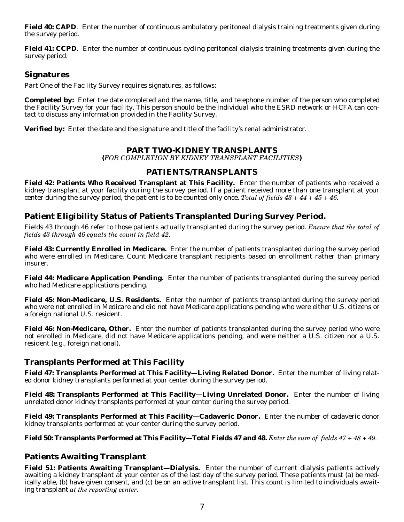**Field 40: CAPD**. Enter the number of continuous ambulatory peritoneal dialysis training treatments given during the survey period.

**Field 41: CCPD.** Enter the number of continuous cycling peritoneal dialysis training treatments given during the survey period.

#### **Signatures**

Part One of the Facility Survey requires signatures, as follows:

**Completed by:** Enter the date completed and the name, title, and telephone number of the person who completed the Facility Survey for your facility. This person should be the individual who the ESRD network or HCFA can contact to discuss any information provided in the Facility Survey.

**Verified by:** Enter the date and the signature and title of the facility's renal administrator.

#### **PART TWO-KIDNEY TRANSPLANTS**

**(***FOR COMPLETION BY KIDNEY TRANSPLANT FACILITIES***)** 

#### **PATIENTS/TRANSPLANTS**

**Field 42: Patients Who Received Transplant at This Facility.** Enter the number of patients who received a kidney transplant at your facility during the survey period. If a patient received more than one transplant at your center during the survey period, the patient is to be counted only once. *Total of fields 43 + 44 + 45 + 46.* 

#### **Patient Eligibility Status of Patients Transplanted During Survey Period.**

Fields 43 through 46 refer to those patients actually transplanted during the survey period. *Ensure that the total of fields 43 through 46 equals the count in field 42.* 

**Field 43: Currently Enrolled in Medicare.** Enter the number of patients transplanted during the survey period who were enrolled in Medicare. Count Medicare transplant recipients based on enrollment rather than primary insurer.

**Field 44: Medicare Application Pending.** Enter the number of patients transplanted during the survey period who had Medicare applications pending.

**Field 45: Non-Medicare, U.S. Residents.** Enter the number of patients transplanted during the survey period who were not enrolled in Medicare and did not have Medicare applications pending who were either U.S. citizens or a foreign national U.S. resident.

**Field 46: Non-Medicare, Other.** Enter the number of patients transplanted during the survey period who were not enrolled in Medicare, did not have Medicare applications pending, and were neither a U.S. citizen nor a U.S. resident (e.g., foreign national).

# **Transplants Performed at This Facility**

**Field 47: Transplants Performed at This Facility—Living Related Donor.** Enter the number of living related donor kidney transplants performed at your center during the survey period.

**Field 48: Transplants Performed at This Facility—Living Unrelated Donor.** Enter the number of living unrelated donor kidney transplants performed at your center during the survey period.

**Field 49: Transplants Performed at This Facility—Cadaveric Donor.** Enter the number of cadaveric donor kidney transplants performed at your center during the survey period.

**Field 50: Transplants Performed at This Facility—Total Fields 47 and 48.** *Enter the sum of fields 47 + 48 + 49.* 

# **Patients Awaiting Transplant**

**Field 51: Patients Awaiting Transplant—Dialysis.** Enter the number of current dialysis patients actively awaiting a kidney transplant at your center as of the last day of the survey period. These patients must (a) be medically able, (b) have given consent, and (c) be on an active transplant list. This count is limited to individuals awaiting transplant *at the reporting center.*